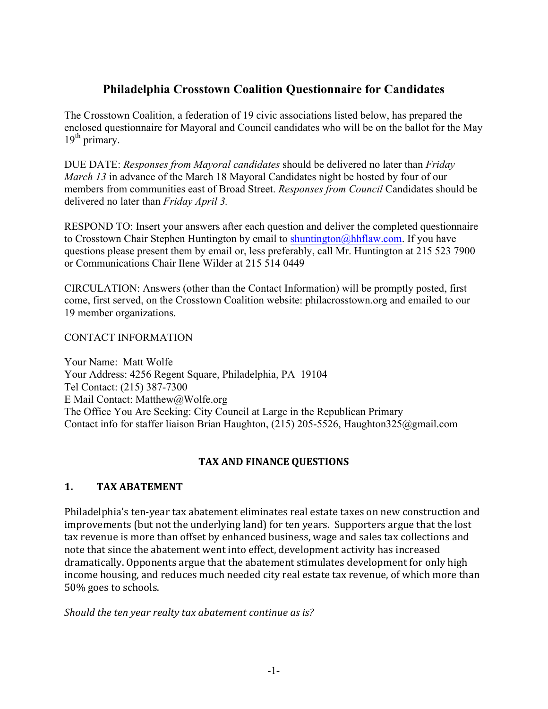# **Philadelphia Crosstown Coalition Questionnaire for Candidates**

The Crosstown Coalition, a federation of 19 civic associations listed below, has prepared the enclosed questionnaire for Mayoral and Council candidates who will be on the ballot for the May  $19<sup>th</sup>$  primary.

DUE DATE: *Responses from Mayoral candidates* should be delivered no later than *Friday March 13* in advance of the March 18 Mayoral Candidates night be hosted by four of our members from communities east of Broad Street. *Responses from Council* Candidates should be delivered no later than *Friday April 3.*

RESPOND TO: Insert your answers after each question and deliver the completed questionnaire to Crosstown Chair Stephen Huntington by email to shuntington@hhflaw.com. If you have questions please present them by email or, less preferably, call Mr. Huntington at 215 523 7900 or Communications Chair Ilene Wilder at 215 514 0449

CIRCULATION: Answers (other than the Contact Information) will be promptly posted, first come, first served, on the Crosstown Coalition website: philacrosstown.org and emailed to our 19 member organizations.

CONTACT INFORMATION

Your Name: Matt Wolfe Your Address: 4256 Regent Square, Philadelphia, PA 19104 Tel Contact: (215) 387-7300 E Mail Contact: Matthew@Wolfe.org The Office You Are Seeking: City Council at Large in the Republican Primary Contact info for staffer liaison Brian Haughton, (215) 205-5526, Haughton325@gmail.com

## **TAX AND FINANCE QUESTIONS**

## **1. TAX ABATEMENT**

Philadelphia's ten-year tax abatement eliminates real estate taxes on new construction and improvements (but not the underlying land) for ten years. Supporters argue that the lost tax revenue is more than offset by enhanced business, wage and sales tax collections and note that since the abatement went into effect, development activity has increased dramatically. Opponents argue that the abatement stimulates development for only high income housing, and reduces much needed city real estate tax revenue, of which more than 50% goes to schools.

*Should the ten year realty tax abatement continue as is?*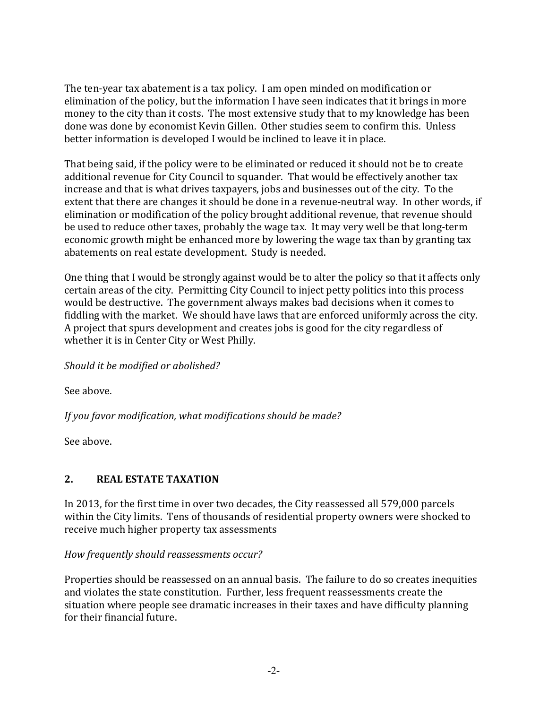The ten-year tax abatement is a tax policy. I am open minded on modification or elimination of the policy, but the information I have seen indicates that it brings in more money to the city than it costs. The most extensive study that to my knowledge has been done was done by economist Kevin Gillen. Other studies seem to confirm this. Unless better information is developed I would be inclined to leave it in place.

That being said, if the policy were to be eliminated or reduced it should not be to create additional revenue for City Council to squander. That would be effectively another tax increase and that is what drives taxpayers, jobs and businesses out of the city. To the extent that there are changes it should be done in a revenue-neutral way. In other words, if elimination or modification of the policy brought additional revenue, that revenue should be used to reduce other taxes, probably the wage tax. It may very well be that long-term economic growth might be enhanced more by lowering the wage tax than by granting tax abatements on real estate development. Study is needed.

One thing that I would be strongly against would be to alter the policy so that it affects only certain areas of the city. Permitting City Council to inject petty politics into this process would be destructive. The government always makes bad decisions when it comes to fiddling with the market. We should have laws that are enforced uniformly across the city. A project that spurs development and creates jobs is good for the city regardless of whether it is in Center City or West Philly.

Should it be modified or abolished?

See above.

If you favor modification, what modifications should be made?

See above.

## **2. REAL ESTATE TAXATION**

In 2013, for the first time in over two decades, the City reassessed all 579,000 parcels within the City limits. Tens of thousands of residential property owners were shocked to receive much higher property tax assessments

*How frequently should reassessments occur?* 

Properties should be reassessed on an annual basis. The failure to do so creates inequities and violates the state constitution. Further, less frequent reassessments create the situation where people see dramatic increases in their taxes and have difficulty planning for their financial future.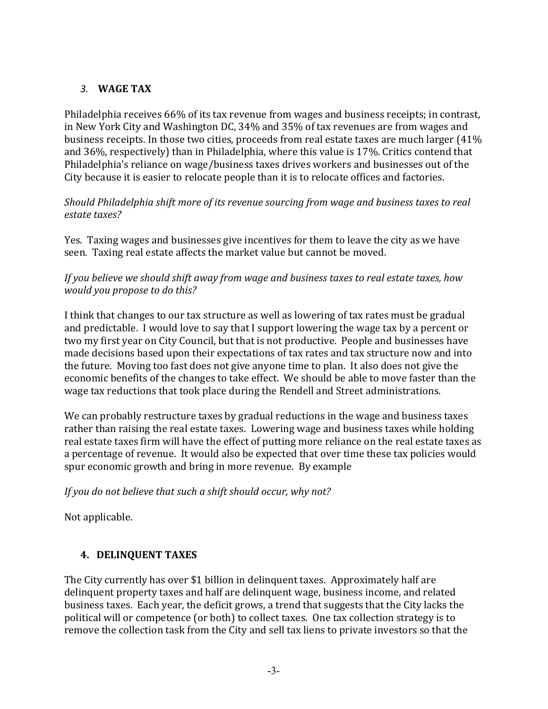## *3.* **WAGE TAX**

Philadelphia receives 66% of its tax revenue from wages and business receipts; in contrast, in New York City and Washington DC, 34% and 35% of tax revenues are from wages and business receipts. In those two cities, proceeds from real estate taxes are much larger (41%) and 36%, respectively) than in Philadelphia, where this value is 17%. Critics contend that Philadelphia's reliance on wage/business taxes drives workers and businesses out of the City because it is easier to relocate people than it is to relocate offices and factories.

*Should Philadelphia shift more of its revenue sourcing from wage and business taxes to real* estate taxes?

Yes. Taxing wages and businesses give incentives for them to leave the city as we have seen. Taxing real estate affects the market value but cannot be moved.

## If you believe we should shift away from wage and business taxes to real estate taxes, how *would you propose to do this?*

I think that changes to our tax structure as well as lowering of tax rates must be gradual and predictable. I would love to say that I support lowering the wage tax by a percent or two my first year on City Council, but that is not productive. People and businesses have made decisions based upon their expectations of tax rates and tax structure now and into the future. Moving too fast does not give anyone time to plan. It also does not give the economic benefits of the changes to take effect. We should be able to move faster than the wage tax reductions that took place during the Rendell and Street administrations.

We can probably restructure taxes by gradual reductions in the wage and business taxes rather than raising the real estate taxes. Lowering wage and business taxes while holding real estate taxes firm will have the effect of putting more reliance on the real estate taxes as a percentage of revenue. It would also be expected that over time these tax policies would spur economic growth and bring in more revenue. By example

## If you do not believe that such a shift should occur, why not?

Not applicable.

# **4. DELINQUENT TAXES**

The City currently has over \$1 billion in delinquent taxes. Approximately half are delinquent property taxes and half are delinquent wage, business income, and related business taxes. Each year, the deficit grows, a trend that suggests that the City lacks the political will or competence (or both) to collect taxes. One tax collection strategy is to remove the collection task from the City and sell tax liens to private investors so that the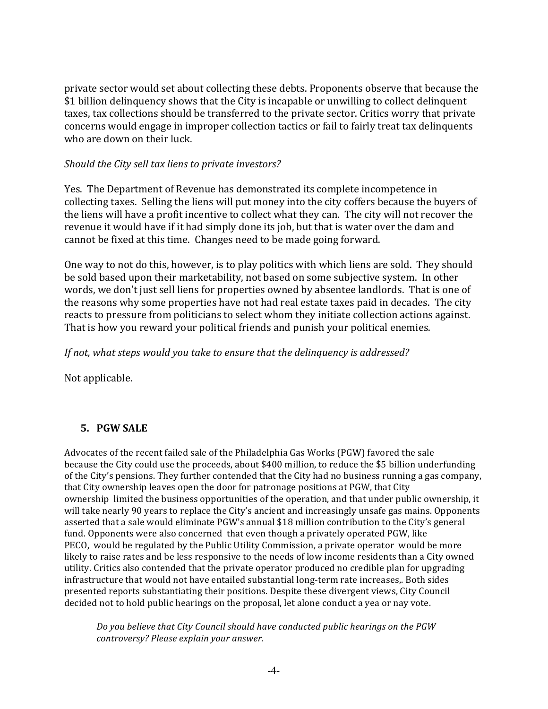private sector would set about collecting these debts. Proponents observe that because the \$1 billion delinquency shows that the City is incapable or unwilling to collect delinquent taxes, tax collections should be transferred to the private sector. Critics worry that private concerns would engage in improper collection tactics or fail to fairly treat tax delinquents who are down on their luck.

#### *Should the City sell tax liens to private investors?*

Yes. The Department of Revenue has demonstrated its complete incompetence in collecting taxes. Selling the liens will put money into the city coffers because the buyers of the liens will have a profit incentive to collect what they can. The city will not recover the revenue it would have if it had simply done its job, but that is water over the dam and cannot be fixed at this time. Changes need to be made going forward.

One way to not do this, however, is to play politics with which liens are sold. They should be sold based upon their marketability, not based on some subjective system. In other words, we don't just sell liens for properties owned by absentee landlords. That is one of the reasons why some properties have not had real estate taxes paid in decades. The city reacts to pressure from politicians to select whom they initiate collection actions against. That is how you reward your political friends and punish your political enemies.

*If not, what steps would you take to ensure that the delinquency is addressed?* 

Not applicable.

## **5. PGW SALE**

Advocates of the recent failed sale of the Philadelphia Gas Works (PGW) favored the sale because the City could use the proceeds, about \$400 million, to reduce the \$5 billion underfunding of the City's pensions. They further contended that the City had no business running a gas company, that City ownership leaves open the door for patronage positions at PGW, that City ownership limited the business opportunities of the operation, and that under public ownership, it will take nearly 90 years to replace the City's ancient and increasingly unsafe gas mains. Opponents asserted that a sale would eliminate PGW's annual \$18 million contribution to the City's general fund. Opponents were also concerned that even though a privately operated PGW, like PECO, would be regulated by the Public Utility Commission, a private operator would be more likely to raise rates and be less responsive to the needs of low income residents than a City owned utility. Critics also contended that the private operator produced no credible plan for upgrading infrastructure that would not have entailed substantial long-term rate increases,. Both sides presented reports substantiating their positions. Despite these divergent views, City Council decided not to hold public hearings on the proposal, let alone conduct a yea or nay vote.

Do you believe that City Council should have conducted public hearings on the PGW *controversy? Please explain your answer.*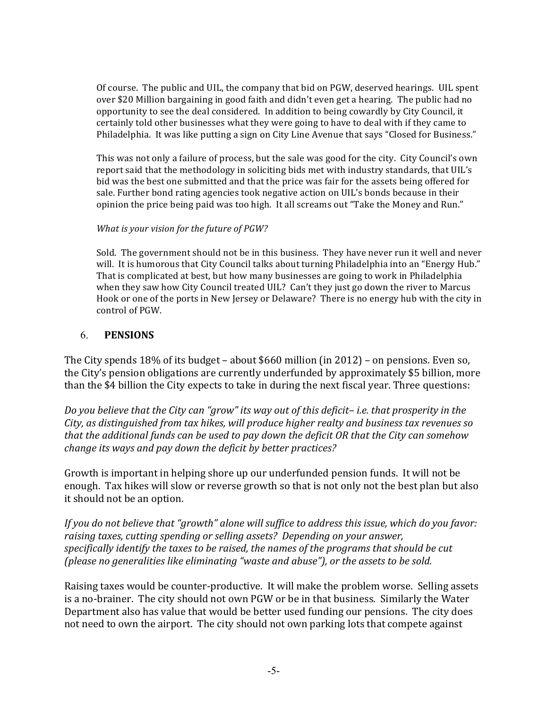Of course. The public and UIL, the company that bid on PGW, deserved hearings. UIL spent over \$20 Million bargaining in good faith and didn't even get a hearing. The public had no opportunity to see the deal considered. In addition to being cowardly by City Council, it certainly told other businesses what they were going to have to deal with if they came to Philadelphia. It was like putting a sign on City Line Avenue that says "Closed for Business."

This was not only a failure of process, but the sale was good for the city. City Council's own report said that the methodology in soliciting bids met with industry standards, that UIL's bid was the best one submitted and that the price was fair for the assets being offered for sale. Further bond rating agencies took negative action on UIL's bonds because in their opinion the price being paid was too high. It all screams out "Take the Money and Run."

#### *What is your vision for the future of PGW?*

Sold. The government should not be in this business. They have never run it well and never will. It is humorous that City Council talks about turning Philadelphia into an "Energy Hub." That is complicated at best, but how many businesses are going to work in Philadelphia when they saw how City Council treated UIL? Can't they just go down the river to Marcus Hook or one of the ports in New Jersey or Delaware? There is no energy hub with the city in control of PGW.

#### 6. **PENSIONS**

The City spends  $18\%$  of its budget – about \$660 million (in 2012) – on pensions. Even so, the City's pension obligations are currently underfunded by approximately \$5 billion, more than the \$4 billion the City expects to take in during the next fiscal year. Three questions:

*Do* you believe that the City can "grow" its way out of this deficit– *i.e.* that prosperity in the *City, as distinguished from tax hikes, will produce higher realty and business tax revenues so that the additional funds can be used to pay down the deficit OR that the City can somehow change its ways and pay down the deficit by better practices?* 

Growth is important in helping shore up our underfunded pension funds. It will not be enough. Tax hikes will slow or reverse growth so that is not only not the best plan but also it should not be an option.

*If* you do not believe that "growth" alone will suffice to address this issue, which do you favor: *raising taxes, cutting spending or selling assets? Depending on your answer,* specifically *identify* the taxes to be raised, the names of the programs that should be cut *(please no generalities like eliminating "waste and abuse"), or the assets to be sold.* 

Raising taxes would be counter-productive. It will make the problem worse. Selling assets is a no-brainer. The city should not own PGW or be in that business. Similarly the Water Department also has value that would be better used funding our pensions. The city does not need to own the airport. The city should not own parking lots that compete against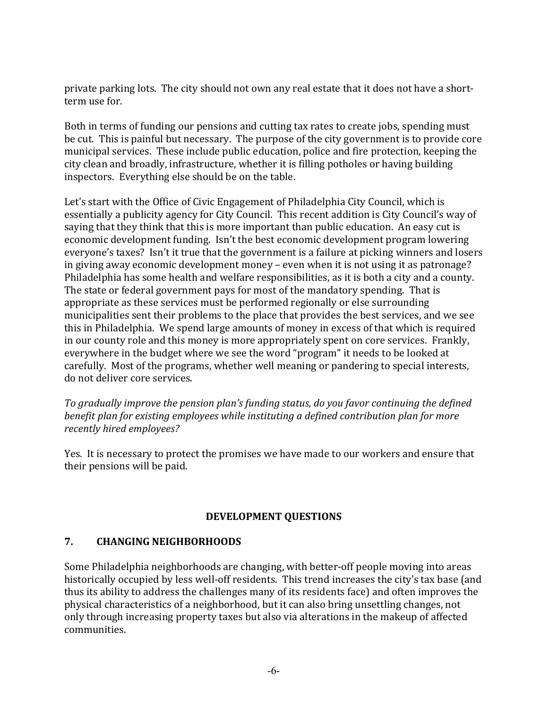private parking lots. The city should not own any real estate that it does not have a shortterm use for.

Both in terms of funding our pensions and cutting tax rates to create jobs, spending must be cut. This is painful but necessary. The purpose of the city government is to provide core municipal services. These include public education, police and fire protection, keeping the city clean and broadly, infrastructure, whether it is filling potholes or having building inspectors. Everything else should be on the table.

Let's start with the Office of Civic Engagement of Philadelphia City Council, which is essentially a publicity agency for City Council. This recent addition is City Council's way of saying that they think that this is more important than public education. An easy cut is economic development funding. Isn't the best economic development program lowering everyone's taxes? Isn't it true that the government is a failure at picking winners and losers in giving away economic development money – even when it is not using it as patronage? Philadelphia has some health and welfare responsibilities, as it is both a city and a county. The state or federal government pays for most of the mandatory spending. That is appropriate as these services must be performed regionally or else surrounding municipalities sent their problems to the place that provides the best services, and we see this in Philadelphia. We spend large amounts of money in excess of that which is required in our county role and this money is more appropriately spent on core services. Frankly, everywhere in the budget where we see the word "program" it needs to be looked at carefully. Most of the programs, whether well meaning or pandering to special interests, do not deliver core services.

To gradually improve the pension plan's funding status, do you favor continuing the defined *benefit plan for existing employees while instituting a defined contribution plan for more recently hired employees?*

Yes. It is necessary to protect the promises we have made to our workers and ensure that their pensions will be paid.

## **DEVELOPMENT QUESTIONS**

## **7. CHANGING NEIGHBORHOODS**

Some Philadelphia neighborhoods are changing, with better-off people moving into areas historically occupied by less well-off residents. This trend increases the city's tax base (and thus its ability to address the challenges many of its residents face) and often improves the physical characteristics of a neighborhood, but it can also bring unsettling changes, not only through increasing property taxes but also via alterations in the makeup of affected communities.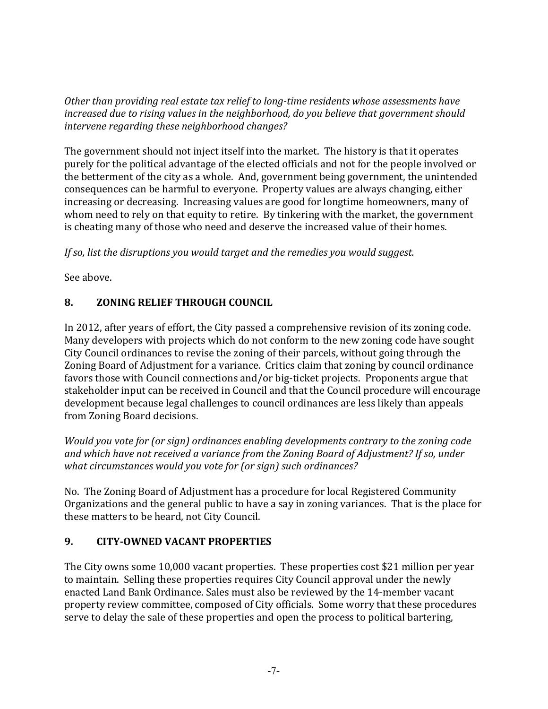*Other than providing real estate tax relief to long-time residents whose assessments have increased due to rising values in the neighborhood, do you believe that government should* intervene regarding these neighborhood changes?

The government should not inject itself into the market. The history is that it operates purely for the political advantage of the elected officials and not for the people involved or the betterment of the city as a whole. And, government being government, the unintended consequences can be harmful to everyone. Property values are always changing, either increasing or decreasing. Increasing values are good for longtime homeowners, many of whom need to rely on that equity to retire. By tinkering with the market, the government is cheating many of those who need and deserve the increased value of their homes.

If so, list the disruptions you would target and the remedies you would suggest.

See above.

# **8. <b>ZONING RELIEF THROUGH COUNCIL**

In 2012, after years of effort, the City passed a comprehensive revision of its zoning code. Many developers with projects which do not conform to the new zoning code have sought City Council ordinances to revise the zoning of their parcels, without going through the Zoning Board of Adjustment for a variance. Critics claim that zoning by council ordinance favors those with Council connections and/or big-ticket projects. Proponents argue that stakeholder input can be received in Council and that the Council procedure will encourage development because legal challenges to council ordinances are less likely than appeals from Zoning Board decisions.

*Would* you vote for (or sign) ordinances enabling developments contrary to the zoning code and which have not received a variance from the Zoning Board of Adjustment? If so, under *what circumstances would you vote for (or sign)* such ordinances?

No. The Zoning Board of Adjustment has a procedure for local Registered Community Organizations and the general public to have a say in zoning variances. That is the place for these matters to be heard, not City Council.

## **9. CITY-OWNED VACANT PROPERTIES**

The City owns some 10,000 vacant properties. These properties cost \$21 million per year to maintain. Selling these properties requires City Council approval under the newly enacted Land Bank Ordinance. Sales must also be reviewed by the 14-member vacant property review committee, composed of City officials. Some worry that these procedures serve to delay the sale of these properties and open the process to political bartering,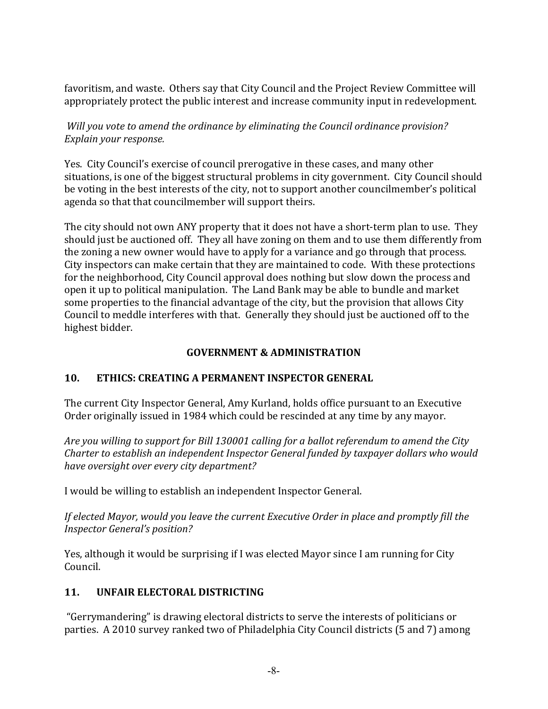favoritism, and waste. Others say that City Council and the Project Review Committee will appropriately protect the public interest and increase community input in redevelopment.

*Will you vote to amend the ordinance by eliminating the Council ordinance provision? Explain your response.*

Yes. City Council's exercise of council prerogative in these cases, and many other situations, is one of the biggest structural problems in city government. City Council should be voting in the best interests of the city, not to support another councilmember's political agenda so that that councilmember will support theirs.

The city should not own ANY property that it does not have a short-term plan to use. They should just be auctioned off. They all have zoning on them and to use them differently from the zoning a new owner would have to apply for a variance and go through that process. City inspectors can make certain that they are maintained to code. With these protections for the neighborhood, City Council approval does nothing but slow down the process and open it up to political manipulation. The Land Bank may be able to bundle and market some properties to the financial advantage of the city, but the provision that allows City Council to meddle interferes with that. Generally they should just be auctioned off to the highest bidder.

#### **GOVERNMENT & ADMINISTRATION**

## **10. ETHICS: CREATING A PERMANENT INSPECTOR GENERAL**

The current City Inspector General, Amy Kurland, holds office pursuant to an Executive Order originally issued in 1984 which could be rescinded at any time by any mayor.

*Are you willing to support for Bill 130001 calling for a ballot referendum to amend the City Charter to establish an independent Inspector General funded by taxpayer dollars who would* have oversight over every city department?

I would be willing to establish an independent Inspector General.

If elected Mayor, would you leave the current Executive Order in place and promptly fill the *Inspector General's position?*

Yes, although it would be surprising if I was elected Mayor since I am running for City Council.

#### **11. UNFAIR ELECTORAL DISTRICTING**

"Gerrymandering" is drawing electoral districts to serve the interests of politicians or parties. A 2010 survey ranked two of Philadelphia City Council districts (5 and 7) among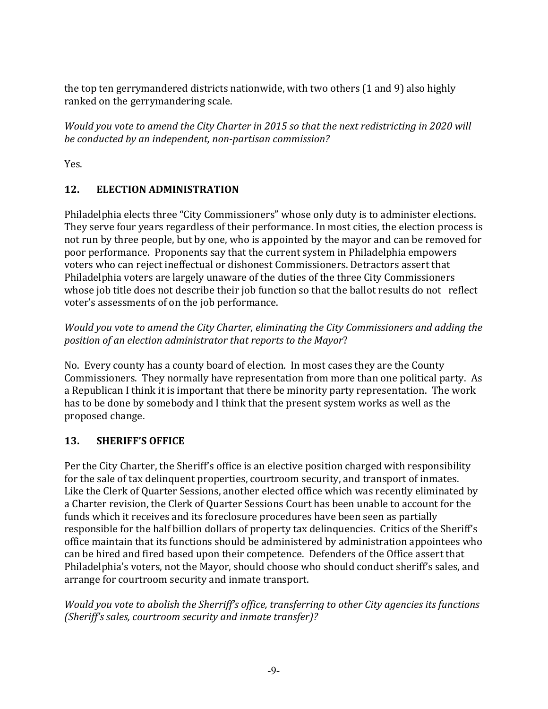the top ten gerrymandered districts nationwide, with two others (1 and 9) also highly ranked on the gerrymandering scale.

*Would you vote to amend the City Charter in 2015 so that the next redistricting in 2020 will be conducted by an independent, non-partisan commission?* 

Yes.

# **12. ELECTION ADMINISTRATION**

Philadelphia elects three "City Commissioners" whose only duty is to administer elections. They serve four years regardless of their performance. In most cities, the election process is not run by three people, but by one, who is appointed by the mayor and can be removed for poor performance. Proponents say that the current system in Philadelphia empowers voters who can reject ineffectual or dishonest Commissioners. Detractors assert that Philadelphia voters are largely unaware of the duties of the three City Commissioners whose job title does not describe their job function so that the ballot results do not reflect voter's assessments of on the job performance.

*Would* you vote to amend the City Charter, eliminating the City Commissioners and adding the *position of an election administrator that reports to the Mayor?* 

No. Every county has a county board of election. In most cases they are the County Commissioners. They normally have representation from more than one political party. As a Republican I think it is important that there be minority party representation. The work has to be done by somebody and I think that the present system works as well as the proposed change.

# 13. **SHERIFF'S OFFICE**

Per the City Charter, the Sheriff's office is an elective position charged with responsibility for the sale of tax delinquent properties, courtroom security, and transport of inmates. Like the Clerk of Quarter Sessions, another elected office which was recently eliminated by a Charter revision, the Clerk of Quarter Sessions Court has been unable to account for the funds which it receives and its foreclosure procedures have been seen as partially responsible for the half billion dollars of property tax delinquencies. Critics of the Sheriff's office maintain that its functions should be administered by administration appointees who can be hired and fired based upon their competence. Defenders of the Office assert that Philadelphia's voters, not the Mayor, should choose who should conduct sheriff's sales, and arrange for courtroom security and inmate transport.

*Would you vote to abolish the Sherriff's office, transferring to other City agencies its functions (Sheriff's sales, courtroom security and inmate transfer)?*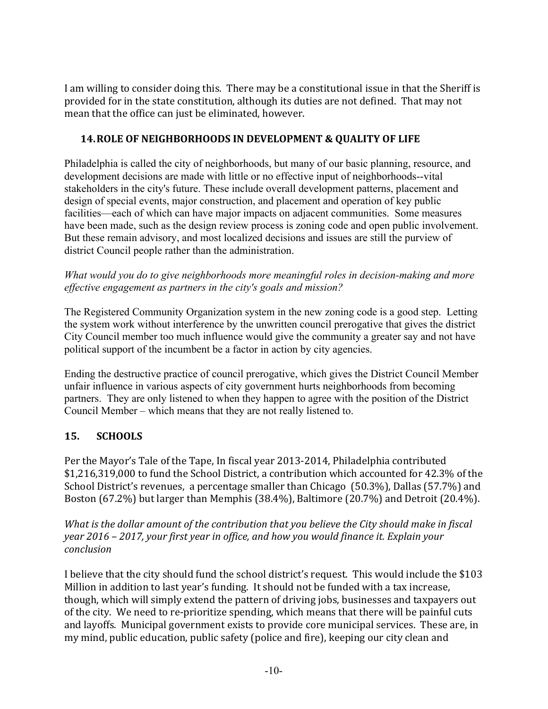I am willing to consider doing this. There may be a constitutional issue in that the Sheriff is provided for in the state constitution, although its duties are not defined. That may not mean that the office can just be eliminated, however.

## **14. ROLE OF NEIGHBORHOODS IN DEVELOPMENT & QUALITY OF LIFE**

Philadelphia is called the city of neighborhoods, but many of our basic planning, resource, and development decisions are made with little or no effective input of neighborhoods--vital stakeholders in the city's future. These include overall development patterns, placement and design of special events, major construction, and placement and operation of key public facilities—each of which can have major impacts on adjacent communities. Some measures have been made, such as the design review process is zoning code and open public involvement. But these remain advisory, and most localized decisions and issues are still the purview of district Council people rather than the administration.

#### *What would you do to give neighborhoods more meaningful roles in decision-making and more effective engagement as partners in the city's goals and mission?*

The Registered Community Organization system in the new zoning code is a good step. Letting the system work without interference by the unwritten council prerogative that gives the district City Council member too much influence would give the community a greater say and not have political support of the incumbent be a factor in action by city agencies.

Ending the destructive practice of council prerogative, which gives the District Council Member unfair influence in various aspects of city government hurts neighborhoods from becoming partners. They are only listened to when they happen to agree with the position of the District Council Member – which means that they are not really listened to.

# **15. SCHOOLS**

Per the Mayor's Tale of the Tape, In fiscal year 2013-2014, Philadelphia contributed \$1,216,319,000 to fund the School District, a contribution which accounted for 42,3% of the School District's revenues, a percentage smaller than Chicago (50.3%), Dallas (57.7%) and Boston  $(67.2\%)$  but larger than Memphis  $(38.4\%)$ , Baltimore  $(20.7\%)$  and Detroit  $(20.4\%)$ .

*What is the dollar amount of the contribution that you believe the City should make in fiscal year* 2016 – 2017, your first year in office, and how you would finance it. Explain your *conclusion*

I believe that the city should fund the school district's request. This would include the \$103 Million in addition to last year's funding. It should not be funded with a tax increase, though, which will simply extend the pattern of driving jobs, businesses and taxpayers out of the city. We need to re-prioritize spending, which means that there will be painful cuts and layoffs. Municipal government exists to provide core municipal services. These are, in my mind, public education, public safety (police and fire), keeping our city clean and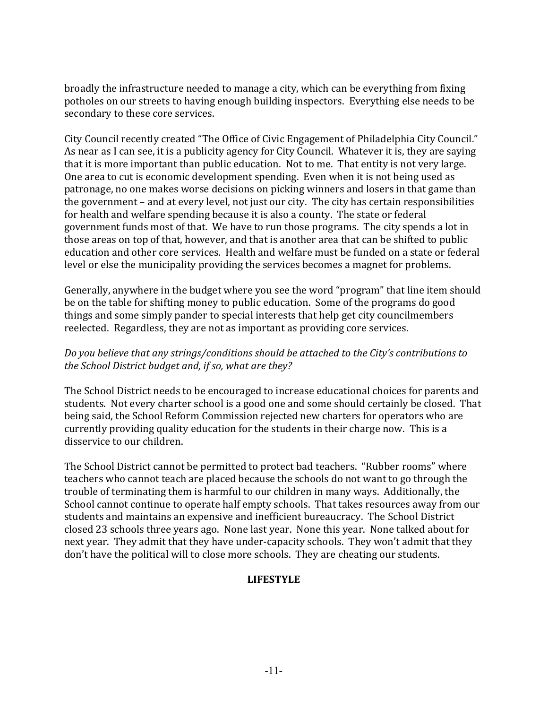broadly the infrastructure needed to manage a city, which can be everything from fixing potholes on our streets to having enough building inspectors. Everything else needs to be secondary to these core services.

City Council recently created "The Office of Civic Engagement of Philadelphia City Council." As near as I can see, it is a publicity agency for City Council. Whatever it is, they are saying that it is more important than public education. Not to me. That entity is not very large. One area to cut is economic development spending. Even when it is not being used as patronage, no one makes worse decisions on picking winners and losers in that game than the government - and at every level, not just our city. The city has certain responsibilities for health and welfare spending because it is also a county. The state or federal government funds most of that. We have to run those programs. The city spends a lot in those areas on top of that, however, and that is another area that can be shifted to public education and other core services. Health and welfare must be funded on a state or federal level or else the municipality providing the services becomes a magnet for problems.

Generally, anywhere in the budget where you see the word "program" that line item should be on the table for shifting money to public education. Some of the programs do good things and some simply pander to special interests that help get city councilmembers reelected. Regardless, they are not as important as providing core services.

#### Do you believe that any strings/conditions should be attached to the City's contributions to the School District budget and, if so, what are they?

The School District needs to be encouraged to increase educational choices for parents and students. Not every charter school is a good one and some should certainly be closed. That being said, the School Reform Commission rejected new charters for operators who are currently providing quality education for the students in their charge now. This is a disservice to our children.

The School District cannot be permitted to protect bad teachers. "Rubber rooms" where teachers who cannot teach are placed because the schools do not want to go through the trouble of terminating them is harmful to our children in many ways. Additionally, the School cannot continue to operate half empty schools. That takes resources away from our students and maintains an expensive and inefficient bureaucracy. The School District closed 23 schools three years ago. None last year. None this year. None talked about for next year. They admit that they have under-capacity schools. They won't admit that they don't have the political will to close more schools. They are cheating our students.

#### **LIFESTYLE**